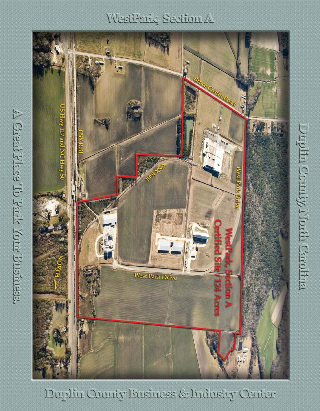# WestPark Section A



Duplin County Eusiness & Industry Center